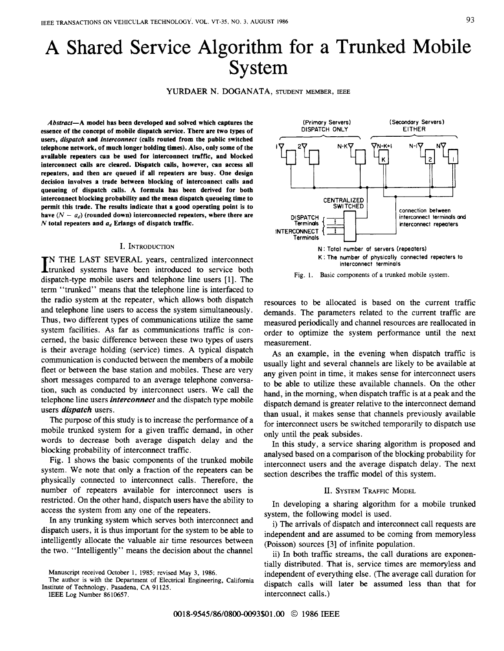# A Shared Service Algorithm for a Trunked Mobile System

YURDAER N. DOGANATA, STUDENT MEMBER, IEEE

*Abstract-A* **model has been developed and solved which captures the essence of the concept of mobile dispatch service. There are two types of users,** *dispatch* **and** *interconnect* **(calls routed from the public switched telephone network, of much longer holding times). Also, only some of the available repeaters can be used for interconnect traffic, and blocked interconnect calls are cleared. Dispatch calls, however, can access all repeaters, and then are queued if all repeaters are busy. One design decision involves a trade between blocking of interconnect calls and queueing of dispatch calls. A formula has been derived for both interconnect blocking probability and the mean dispatch queueing time to permit this trade. The results indicate that a good operating point is to**  have  $(N - a_d)$  (rounded down) interconnected repeaters, where there are  $N$  **total repeaters and**  $a_d$  **<b>Erlangs** of dispatch traffic.

#### I. INTRODUCTION

IN THE LAST SEVERAL years, centralized interconnect **L**etrunked systems have been introduced to service both dispatch-type mobile users and telephone line users [1]. The term "trunked" means that the telephone line is interfaced to the radio system at the repeater, which allows both dispatch and telephone line users to access the system simultaneously. Thus, two different types of communications utilize the same system facilities. As far as communications traffic is concerned, the basic difference between these two types of users is their average holding (service) times. **A** typical dispatch communication is conducted between the members of a mobile fleet or between the base station and mobiles. These are very short messages compared to an average telephone conversation, such as conducted by interconnect users. We call the telephone line users *interconnect* and the dispatch type mobile users *dispatch* users.

The purpose of this study is to increase the performance of a mobile trunked system for a given traffic demand, in other words to decrease both average dispatch delay and the blocking probability of interconnect traffic.

Fig. 1 shows the basic components of the trunked mobile system. We note that only a fraction of the repeaters can be physically connected to interconnect calls. Therefore, the number of repeaters available for interconnect users is restricted. On the other hand, dispatch users have the ability to access the system from any one of the repeaters.

In any trunking system which serves both interconnect and dispatch users, it is thus important for the system to be able to intelligently allocate the valuable air time resources between the two. "Intelligently" means the decision about the channel

**The author is with the Department of Electrical Engineering, California Institute of Technology, Pasadena, CA 91 125.** 

**IEEE Log Number 8610657.** 



**(Secondary Servers)** 

**(Primary Servers)** 

**Fig. 1. Basic components** of **a trunked mobile system.** 

resources to be allocated is based on the current traffic demands. The parameters related to the current traffic are measured periodically and channel resources are reallocated in order to optimize the system performance until the next measurement.

As an example, in the evening when dispatch traffic is usually light and several channels are likely to be available at any given point in time, it makes sense for interconnect users to be able to utilize these available channels. On the other hand, in the morning, when dispatch traffic is at a peak and the dispatch demand is greater relative to the interconnect demand than usual, it makes sense that channels previously available for interconnect users be switched temporarily to dispatch use only until the peak subsides.

In this study, a service sharing algorithm is proposed and analysed based on a comparison of the blocking probability for interconnect users and the average dispatch delay. The next section describes the traffic model of this system.

### II. SYSTEM TRAFFIC MODEL

In developing a sharing algorithm for a mobile trunked system, the following model is used.

i) The arrivals of dispatch and interconnect call requests are independent and are assumed to be coming from memoryless (Poisson) sources [3] of infinite population.

ii) In both traffic streams, the call durations are exponentially distributed. That is, service times are memoryless and independent of everything else. (The average call duration for dispatch calls will later be assumed less than that for interconnect calls.)

**Manuscript received October 1, 1985; revised May 3, 1986.**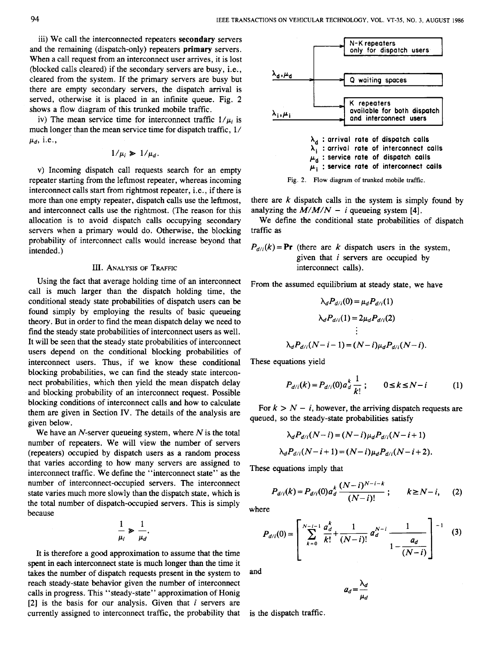iii) We call the interconnected repeaters **secondary** servers and the remaining (dispatch-only) repeaters **primary** servers. When a call request from an interconnect user arrives, it is lost (blocked calls cleared) if the secondary servers are busy, i.e., cleared from the system. If the primary servers are busy but there are empty secondary servers, the dispatch arrival is served, otherwise it is placed in an infinite queue. Fig. **2**  shows a flow diagram of this trunked mobile traffic.

iv) The mean service time for interconnect traffic  $1/\mu_i$  is much longer than the mean service time for dispatch traffic, 1/ *pd,* i.e.,

$$
1/\mu_i \geq 1/\mu_d.
$$

**v)** Incoming dispatch call requests search for an empty repeater starting from the leftmost repeater, whereas incoming interconnect calls start from rightmost repeater, i.e., if there is more than one empty repeater, dispatch calls use the leftmost, and interconnect calls use the rightmost. (The reason for this allocation is to avoid dispatch calls occupying secondary servers when a primary would do. Otherwise, the blocking probability of interconnect calls would increase beyond that intended.)

# **III.** ANALYSIS OF TRAFFIC

Using the fact that average holding time of an interconnect call is much larger than the dispatch holding time, the conditional steady state probabilities of dispatch users can be found simply by employing the results of basic queueing theory. But in order to find the mean dispatch delay we need to find the steady state probabilities of interconnect users as well. It will be seen that the steady state probabilities of interconnect users depend on the conditional blocking probabilities of interconnect users. Thus, if we know these conditional blocking probabilities, we can find the steady state interconnect probabilities, which then yield the mean dispatch delay and blocking probability of an interconnect request. Possible blocking conditions of interconnect calls and how to calculate them are given in Section IV. The details of the analysis are given below.

We have an N-server queueing system, where *N* is the total number of repeaters. We will view the number of servers (repeaters) occupied by dispatch users as a random process that varies according to how many servers are assigned to interconnect traffic. We define the "interconnect state" **as** the number of interconnect-occupied servers. The interconnect state varies much more slowly than the dispatch state, which is the total number of dispatch-occupied servers. This is simply because

$$
\frac{1}{\mu_i} \geqslant \frac{1}{\mu_d}.
$$

It is therefore a good approximation to assume that the time spent in each interconnect state is much longer than the time it takes the number of dispatch requests present in the system to reach steady-state behavior given the number of interconnect calls in progress. This "steady-state'' approximation of Honig **[2]** is the basis for our analysis. Given that *i* servers are currently assigned to interconnect traffic, the probability that



there are *k* dispatch calls in the system is simply found by analyzing the  $M/M/N - i$  queueing system [4].

We define the conditional state probabilities of dispatch traffic as

 $P_{d/i}(k) = \mathbf{Pr}$  (there are *k* dispatch users in the system, given that *i* servers are occupied by interconnect calls).

From the assumed equilibrium at steady state, we have  $\sim$ 

$$
\lambda_d P_{d/i}(0) = \mu_d P_{d/i}(1)
$$

$$
\lambda_d P_{d/i}(1) = 2\mu_d P_{d/i}(2)
$$

$$
\vdots
$$

$$
\lambda_d P_{d/i}(N - i - 1) = (N - i)\mu_d P_{d/i}(N - i).
$$

These equations yield

$$
P_{d/i}(k) = P_{d/i}(0) a_d^k \frac{1}{k!} ; \qquad 0 \le k \le N - i \tag{1}
$$

For  $k > N - i$ , however, the arriving dispatch requests are queued, *so* the steady-state probabilities satisfy

$$
\lambda_d P_{d/i}(N-i) = (N-i)\mu_d P_{d/i}(N-i+1)
$$
  

$$
\lambda_d P_{d/i}(N-i+1) = (N-i)\mu_d P_{d/i}(N-i+2).
$$

These equations imply that

$$
P_{d/i}(k) = P_{d/i}(0) a_d^k \frac{(N-i)^{N-i-k}}{(N-i)!} ; \qquad k \ge N-i, \qquad (2)
$$

where

$$
P_{d/i}(0) = \left[ \sum_{k=0}^{N-i-1} \frac{a_d^k}{k!} + \frac{1}{(N-i)!} a_d^{N-i} \frac{1}{1 - \frac{a_d}{(N-i)}} \right]^{-1}
$$
 (3)

and

$$
a_d = \frac{\lambda_d}{\mu_d}
$$

is the dispatch traffic.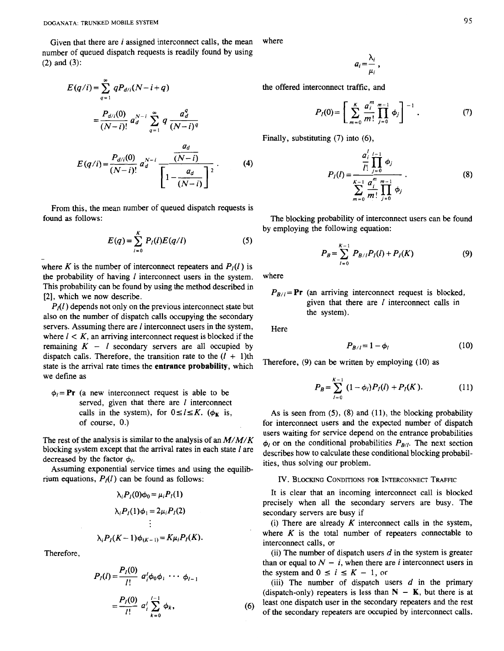Given that there are *i* assigned interconnect calls, the mean number of queued dispatch requests is readily found by using **(2)** and **(3):** 

$$
E(q/i) = \sum_{q=1}^{\infty} qP_{d/i}(N-i+q)
$$
  
=  $\frac{P_{d/i}(0)}{(N-i)!} a_d^{N-i} \sum_{q=1}^{\infty} q \frac{a_d^q}{(N-i)^q}$   
 $P_{d/i}(0) = N-i \frac{a_d}{(N-i)}$ 

 $(4)$  $E(q/i) = \frac{a_i}{(N-i)!} a_d^{i}$ 

From this, the mean number of queued dispatch requests is found **as** follows:

$$
E(q) = \sum_{l=0}^{K} P_{l}(l) E(q/l)
$$
 (5)

where *K* is the number of interconnect repeaters and  $P_I(l)$  is the probability of having *I* interconnect users in the system. This probability can be found by using the method described in **[2],** which we now describe.

*P<sub>A</sub>(l)* depends not only on the previous interconnect state but also on the number of dispatch calls occupying the secondary servers. Assuming there are *I* interconnect users in the system, where  $l < K$ , an arriving interconnect request is blocked if the remaining  $K - l$  secondary servers are all occupied by dispatch calls. Therefore, the transition rate to the  $(l + 1)$ th state is the arrival rate times the **entrance probability,** which we define as

 $\phi_i = \mathbf{Pr}$  (a new interconnect request is able to be served, given that there are *1* interconnect calls in the system), for  $0 \le l \le K$ . ( $\phi_K$  is, of course, 0.)

The rest of the analysis is similar to the analysis of an *M/M/K*  blocking system except that the arrival rates in each state *I* are decreased by the factor  $\phi_l$ .

Assuming exponential service times and using the equilibrium equations,  $P_I(l)$  can be found as follows:

$$
\lambda_i P_I(0)\phi_0 = \mu_i P_I(1)
$$
  
\n
$$
\lambda_i P_I(1)\phi_1 = 2\mu_i P_I(2)
$$
  
\n
$$
\vdots
$$
  
\n
$$
\lambda_i P_I(K-1)\phi_{(K-1)} = K\mu_i P_I(K).
$$

Therefore,

-

$$
P_{I}(l) = \frac{P_{I}(0)}{l!} a'_{i} \phi_{0} \phi_{1} \cdots \phi_{l-1}
$$
  
= 
$$
\frac{P_{I}(0)}{l!} a'_{i} \sum_{k=0}^{l-1} \phi_{k},
$$

where

$$
a_i=\frac{\lambda_i}{\mu_i}\,,
$$

the offered interconnect traffic, and

$$
P_I(0) = \left[ \sum_{m=0}^{K} \frac{a_i^m}{m!} \prod_{j=0}^{m-1} \phi_j \right]^{-1} . \tag{7}
$$

Finally, substituting **(7)** into *(6),* 

$$
P_{I}(I) = \frac{\frac{a_{i}^{I}}{I!} \prod_{j=0}^{I-1} \phi_{j}}{\sum_{m=0}^{K-1} \frac{a_{i}^{m}}{m!} \prod_{j=0}^{m-1} \phi_{j}}.
$$
 (8)

The blocking probability of interconnect users can be found by employing the following equation:

$$
P_B = \sum_{l=0}^{K-1} P_{B/l} P_I(l) + P_I(K)
$$
 (9)

where

$$
P_{B/I} = \text{Pr}
$$
 (an arriving interconnect request is blocked, given that there are *l* interconnect calls in the system).

Here

 $(6)$ 

$$
P_{B/l} = 1 - \phi_l \tag{10}
$$

Therefore, (9) can be written by employing (10) as

$$
P_B = \sum_{l=0}^{K-1} (1 - \phi_l) P_I(l) + P_I(K). \tag{11}
$$

As is seen from (5), (8) and (11), the blocking probability for interconnect users and the expected number of dispatch users waiting for service depend on the entrance probabilities  $\phi_l$  or on the conditional probabilities  $P_{B/l}$ . The next section describes how to calculate these conditional blocking probabilities, thus solving our problem.

IV. BLOCKING CONDITIONS FOR INTERCONNECT TRAFFIC

It is clear that an incoming interconnect call is blocked precisely when all the secondary servers are busy. The secondary servers are busy if

(i) There are already  $K$  interconnect calls in the system, where  $K$  is the total number of repeaters connectable to interconnect calls, or

(ii) The number of dispatch users  $d$  in the system is greater than or equal to  $N - i$ , when there are *i* interconnect users in the system and  $0 \le i \le K - 1$ , or

(iii) The number of dispatch users *d* in the primary (dispatch-only) repeaters is less than  $N - K$ , but there is at least one dispatch user in the secondary repeaters and the rest of the secondary repeaters are occupied by interconnect calls.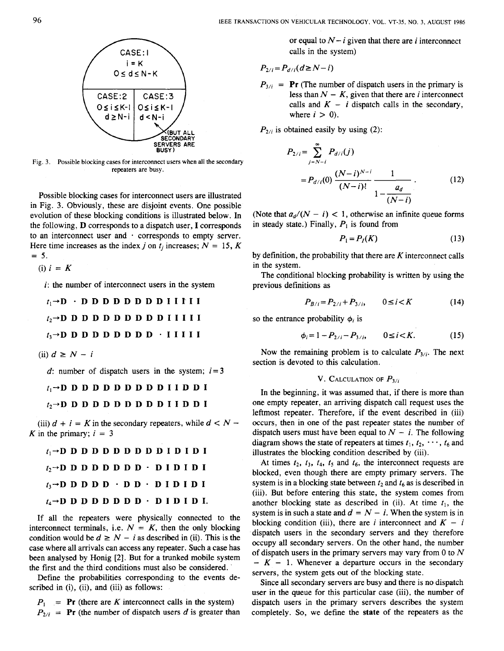

**Fig. 3. Possible blocking cases for interconnect users when** all **the secondary repeaters are busy.** 

Possible blocking cases for interconnect users are illustrated in Fig. **3.** Obviously, these are disjoint events. One possible evolution of these blocking conditions is illustrated below. In the following, **D** corresponds to a dispatch user, **I** corresponds to an interconnect user and  $\cdot$  corresponds to empty server. Here time increases as the index *j* on  $t_i$  increases;  $N = 15$ , K  $= 5.$ 

(i)  $i = K$ 

 $i$ : the number of interconnect users in the system

 $t_1 \rightarrow D$  · D D D D D D D D D I I **I** I I  $t_2 \rightarrow$ DDDDDDDDDIIII  $t_3 \rightarrow D$  D D D D D D D D D  $\cdot$  **IIIII** 

 $(ii) d \geq N - i$ 

*d*: number of dispatch users in the system;  $i=3$ 

 $t_1 \rightarrow D$  D D D D D D D D D D D I D D I

 $t_2 \rightarrow D$  D D D D D D D D D D D I I D D I

(iii)  $d + i = K$  in the secondary repeaters, while  $d < N -$ K in the primary;  $i = 3$ 

| $t_1 \rightarrow D$ D D D D D D D D D D I D I D I           |  |  |  |  |  |  |  |
|-------------------------------------------------------------|--|--|--|--|--|--|--|
| $t_2 \rightarrow D$ D D D D D D D D $\cdot$ D I D I D I     |  |  |  |  |  |  |  |
| $t_3 \rightarrow D$ D D D D $\cdot$ D D $\cdot$ D I D I D I |  |  |  |  |  |  |  |
| $t_4 \rightarrow D$ D D D D D D D D $\cdot$ D I D I D I.    |  |  |  |  |  |  |  |

If all the repeaters were physically connected to the interconnect terminals, i.e.  $N = K$ , then the only blocking condition would be  $d \geq N - i$  as described in (ii). This is the case where all arrivals can access any repeater. Such a case has been analysed by Honig [2]. But for a trunked mobile system the first and the third conditions must also be considered.

Define the probabilities corresponding to the events described in (i), (ii), and (iii) as follows:

 $P_1$  = **Pr** (there are *K* interconnect calls in the system)  $P_{2/i}$  = **Pr** (the number of dispatch users *d* is greater than or equal to  $N - i$  given that there are i interconnect calls in the system)

$$
P_{2/i} = P_{d/i}(d \geq N - i)
$$

 $P_{3/i}$  = **Pr** (The number of dispatch users in the primary is less than  $N - K$ , given that there are *i* interconnect calls and  $K - i$  dispatch calls in the secondary, where  $i > 0$ .

 $P_{2/i}$  is obtained easily by using (2):

$$
P_{2/i} = \sum_{j=N-i}^{\infty} P_{d/i}(j)
$$
  
=  $P_{d/i}(0) \frac{(N-i)^{N-i}}{(N-i)!} \frac{1}{1 - \frac{a_d}{(N-i)}}$ . (12)

(Note that  $a_d/(N - i) < 1$ , otherwise an infinite queue forms in steady state.) Finally,  $P_1$  is found from

$$
P_1 = P_I(K) \tag{13}
$$

by definition, the probability that there are  $K$  interconnect calls in the system.

The conditional blocking probability is written by using the previous definitions as

$$
P_{B/i} = P_{2/i} + P_{3/i}, \qquad 0 \le i < K \tag{14}
$$

so the entrance probability  $\phi_i$  is

$$
\phi_i = 1 - P_{2/i} - P_{3/i}, \qquad 0 \le i < K. \tag{15}
$$

Now the remaining problem is to calculate  $P_{3/i}$ . The next section is devoted to this calculation.

# **V.** CALCULATION OF  $P_{3/i}$

In the beginning, it was assumed that, if there is more than one empty repeater, an arriving dispatch call request uses the leftmost repeater. Therefore, if the event described in (iii) occurs, then in one of the past repeater states the number of dispatch users must have been equal to  $N - i$ . The following diagram shows the state of repeaters at times  $t_1, t_2, \dots, t_6$  and illustrates the blocking condition described by (iii).

At times  $t_2$ ,  $t_3$ ,  $t_4$ ,  $t_5$  and  $t_6$ , the interconnect requests are blocked, even though there are empty primary servers. The system is in a blocking state between  $t_2$  and  $t_6$  as is described in (iii). But before entering this state, the system comes from another blocking state as described in (ii). At time  $t_1$ , the system is in such a state and  $d = N - i$ . When the system is in blocking condition (iii), there are *i* interconnect and  $K - i$ dispatch users in the secondary servers and they therefore occupy all secondary servers. On the other hand, the number of dispatch users in the primary servers may vary from *0* to *N*   $- K - 1$ . Whenever a departure occurs in the secondary servers, the system gets out of the blocking state.

Since all secondary servers are busy and there is no dispatch user in the queue for this particular case (iii), the number of dispatch users in the primary servers describes the system completely. *So,* we define the **state** of the repeaters as the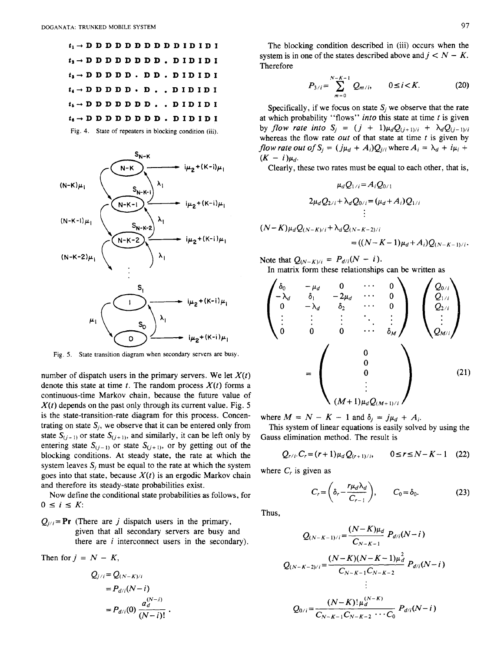

Fig. 4. State of repeaters in blocking condition (iii).



Fig. *5.* State transition diagram when secondary servers are busy.

number of dispatch users in the primary servers. We let  $X(t)$ denote this state at time  $t$ . The random process  $X(t)$  forms a continuous-time Markov chain, because the future value of *X(t)* depends on the past only through its current value. Fig. *5*  is the state-transition-rate diagram for this process. Concentrating on state  $S_i$ , we observe that it can be entered only from state  $S_{(i-1)}$  or state  $S_{(i+1)}$ , and similarly, it can be left only by entering state  $S_{(j-1)}$  or state  $S_{(j+1)}$ , or by getting out of the blocking conditions. At steady state, the rate at which the system leaves  $S_i$  must be equal to the rate at which the system goes into that state, because  $X(t)$  is an ergodic Markov chain and therefore its steady-state probabilities exist.

Now define the conditional state probabilities as follows, for  $0 \leq i \leq K$ :

 $Q_{j/i} = \textbf{Pr}$  (There are *j* dispatch users in the primary, given that all secondary servers are busy and there are *i* interconnect users in the secondary).

Then for  $j = N - K$ ,

$$
Q_{j/i} = Q_{(N-K)/i}
$$
  
=  $P_{d/i}(N-i)$   
=  $P_{d/i}(0) \frac{a_d^{(N-i)}}{(N-i)!}$ 

The blocking condition described in (iii) occurs when the system is in one of the states described above and  $j < N - K$ . Therefore

$$
P_{3/i} = \sum_{m=0}^{N-K-1} Q_{m/i}, \qquad 0 \le i < K. \tag{20}
$$

Specifically, if we focus on state  $S_i$  we observe that the rate at which probability "flows" *into* this state at time *t* is given by *flow rate into*  $S_i = (j + 1)\mu_d Q_{(i+1)/i} + \lambda_d Q_{(i-1)/i}$ whereas the flow rate *out* of that state at time *t* is given by *flow rate out of S<sub>i</sub>* =  $(j\mu_d + A_i)Q_{j/i}$  where  $A_i = \lambda_d + i\mu_i +$  $(K - i)\mu_d$ .

Clearly, these two rates must be equal to each other, that is,

$$
\mu_{d}Q_{1/i} = A_{i}Q_{0/1}
$$
  
\n
$$
2\mu_{d}Q_{2/i} + \lambda_{d}Q_{0/i} = (\mu_{d} + A_{i})Q_{1/i}
$$
  
\n
$$
\vdots
$$
  
\n
$$
N-K)\mu_{d}Q_{(N-K)/i} + \lambda_{d}Q_{(N-K-2)/i}
$$
  
\n
$$
= ((N-K-1)\mu_{d} + A_{i})Q_{(N-K-1)/i}.
$$

Note that  $Q_{(N-K)/i} = P_{d/i}(N - i)$ . In matrix form these relationships can be written as

$$
\begin{pmatrix}\n\delta_0 & -\mu_d & 0 & \cdots & 0 \\
-\lambda_d & \delta_1 & -2\mu_d & \cdots & 0 \\
0 & -\lambda_d & \delta_2 & \cdots & 0 \\
\vdots & \vdots & \vdots & \ddots & \vdots \\
0 & 0 & 0 & \cdots & \delta_M\n\end{pmatrix}\n\begin{pmatrix}\nQ_{0/i} \\
Q_{1/i} \\
Q_{2/i} \\
\vdots \\
Q_{M/i}\n\end{pmatrix}
$$
\n
$$
=\n\begin{pmatrix}\n0 \\
0 \\
0 \\
\vdots \\
0\n\end{pmatrix}
$$
\n(21)

where  $M = N - K - 1$  and  $\delta_i = j\mu_d + A_i$ .

Gauss elimination method. The result is This system of linear equations is easily solved by using the

$$
Q_{r/i} \cdot C_r = (r+1)\mu_d Q_{(r+1)/i}, \qquad 0 \le r \le N - K - 1 \quad (22)
$$

where  $C<sub>r</sub>$  is given as

$$
C_r = \left(\delta_r - \frac{r\mu_d\lambda_d}{C_{r-1}}\right), \qquad C_0 = \delta_0.
$$
 (23)

Thus,

 $\left($ 

$$
Q_{(N-K-1)/i} = \frac{(N-K)\mu_d}{C_{N-K-1}} P_{d/i}(N-i)
$$
  
\n
$$
Q_{(N-K-2)/i} = \frac{(N-K)(N-K-1)\mu_d^2}{C_{N-K-1}C_{N-K-2}} P_{d/i}(N-i)
$$
  
\n
$$
\vdots
$$
  
\n
$$
Q_{0/i} = \frac{(N-K)!\mu_d^{(N-K)}}{C_{N-K-1}C_{N-K-2}\cdots C_0} P_{d/i}(N-i)
$$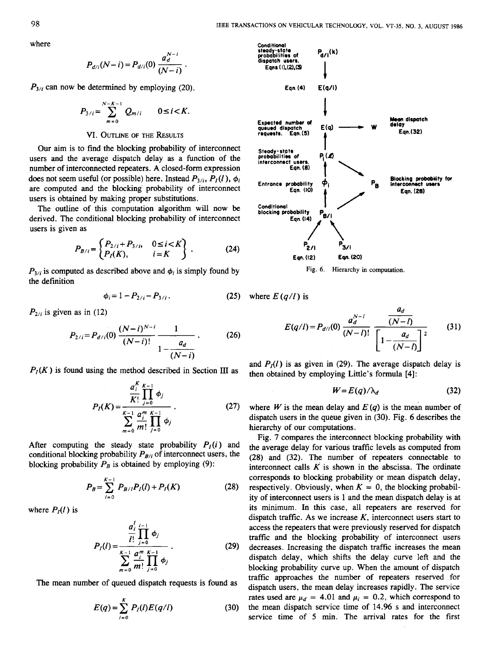where

$$
P_{d/i}(N-i) = P_{d/i}(0) \frac{a_d^{N-i}}{(N-i)}.
$$

 $P_{3/i}$  can now be determined by employing (20).

$$
P_{3/i} = \sum_{m=0}^{N-K-1} Q_{m/i} \qquad 0 \le i < K.
$$

# **VI.** OUTLINE **OF** THE **RFSULTS**

Our aim is to find the blocking probability of interconnect users and the average dispatch delay as a function of the number of interconnected repeaters. A closed-form expression does not seem useful (or possible) here. Instead  $P_{3/2}$ ,  $P_I(l)$ ,  $\phi_i$ are computed and the blocking probability of interconnect users is obtained by making proper substitutions.

The outline of this computation algorithm will now be derived. The conditional blocking probability of interconnect users is given as

$$
P_{B/i} = \begin{cases} P_{2/i} + P_{3/i}, & 0 \le i < K \\ P_I(K), & i = K \end{cases} . \tag{24}
$$

 $P_{3/i}$  is computed as described above and  $\phi_i$  is simply found by the definition

$$
\phi_i = 1 - P_{2/i} - P_{3/i} \,. \tag{25}
$$

 $P_{2/i}$  is given as in (12)

$$
P_{2/i} = P_{d/i}(0) \frac{(N-i)^{N-i}}{(N-i)!} \frac{1}{1 - \frac{a_d}{(N-i)}}.
$$
 (26)

 $P_I(K)$  is found using the method described in Section **III** as

$$
P_{I}(K) = \frac{\frac{a_{i}^{K}}{K!} \prod_{j=0}^{K-1} \phi_{j}}{\sum_{m=0}^{K-1} \frac{a_{i}^{m}}{m!} \prod_{j=0}^{K-1} \phi_{j}}.
$$
 (27)

After computing the steady state probability  $P_I(i)$  and conditional blocking probability  $P_{B/i}$  of interconnect users, the blocking probability  $P_B$  is obtained by employing (9):

$$
P_B = \sum_{l=0}^{K-1} P_{B/l} P_l(l) + P_l(K)
$$
 (28)

where  $P_I(l)$  is

$$
P_{I}(l) = \frac{\frac{a'_{i}}{l!} \prod_{j=0}^{l-1} \phi_{j}}{\sum_{m=0}^{K-1} \frac{a_{i}^{m}}{m!} \prod_{j=0}^{K-1} \phi_{j}}.
$$
 (29)

The mean number of queued dispatch requests is found as

$$
E(q) = \sum_{i=0}^{K} P_i(l) E(q/l)
$$
 (30)



**Fig.** *6.* **Hierarchy in computation.** 

here  $E(q/l)$  is

$$
E(q/l) = P_{d/i}(0) \frac{a_d^{N-l}}{(N-l)!} \frac{a_d}{\left[1 - \frac{a_d}{(N-l)}\right]^2}
$$
(31)

and  $P_I(l)$  is as given in (29). The average dispatch delay is then obtained by employing Little's formula **[4]:** 

$$
W = E(q)/\lambda_d \tag{32}
$$

where *W* is the mean delay and  $E(q)$  is the mean number of dispatch users in the queue given in **(30).** Fig. **6** describes the hierarchy of our computations.

Fig. **7** compares the interconnect blocking probability with the average delay for various traffic levels as computed from **(28)** and **(32).** The number of repeaters connectable to interconnect calls  $K$  is shown in the abscissa. The ordinate corresponds **to** blocking probability or mean dispatch delay, respectively. Obviously, when  $K = 0$ , the blocking probability of interconnect users is **1** and the mean dispatch delay is at its minimum. In this case, **all** repeaters are reserved for dispatch traffic. As we increase  $K$ , interconnect users start to access the repeaters that were previously reserved for dispatch traffic and the blocking probability of interconnect users decreases. Increasing the dispatch traffic increases the mean dispatch delay, which shifts the delay curve left and the blocking probability curve up. When the amount of dispatch traffic approaches the number of repeaters reserved for dispatch users, the mean delay increases rapidly. The service rates used are  $\mu_d = 4.01$  and  $\mu_i = 0.2$ , which correspond to the mean dispatch service time of **14.96 s** and interconnect service time of *5* min. The arrival rates for the first